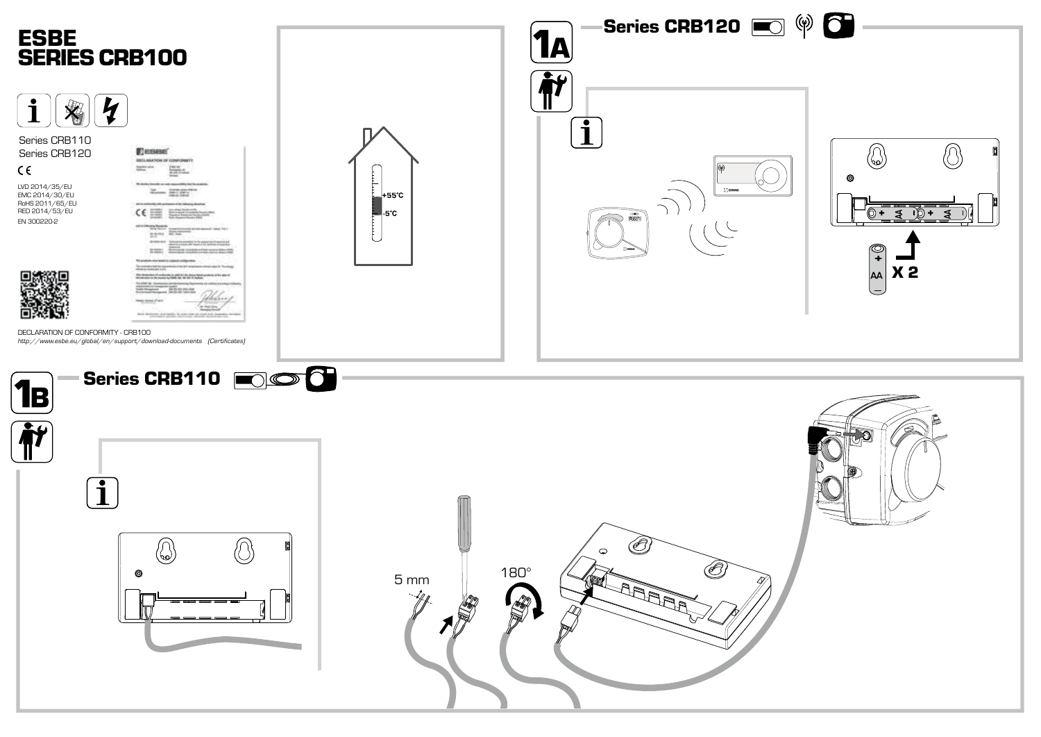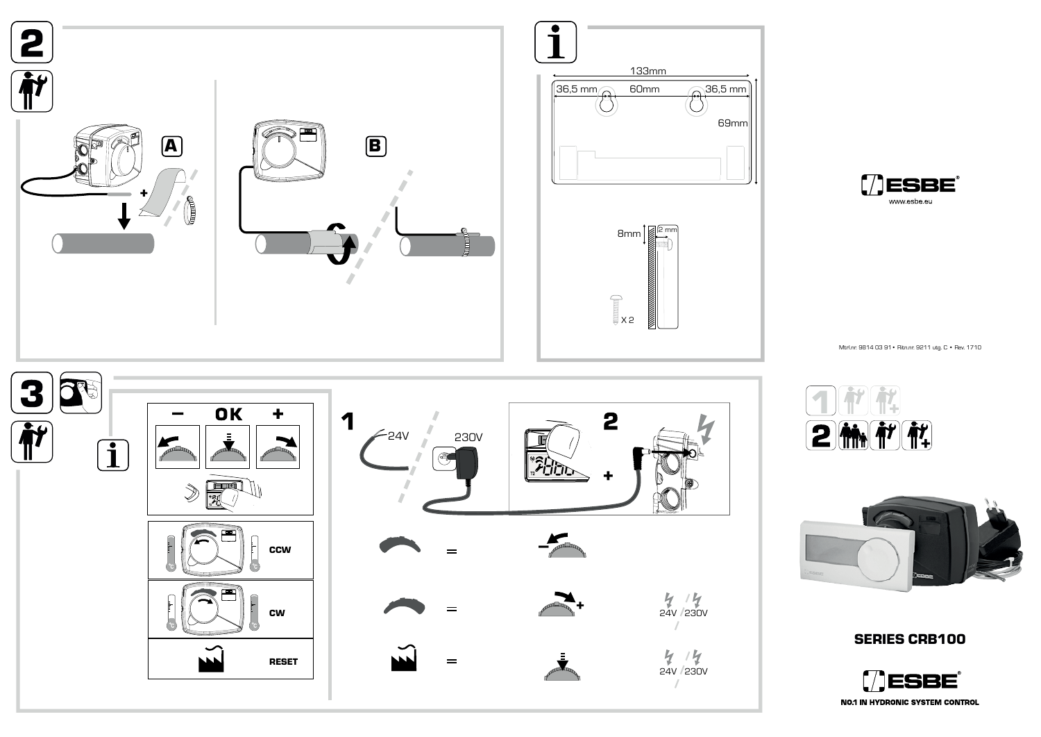



69mm

 $\frac{1}{2}$ 

Mtrl.nr. 9814 03 91• Ritn.nr. 9211 utg. C • Rev. 1710





## **SERIES CRB100**

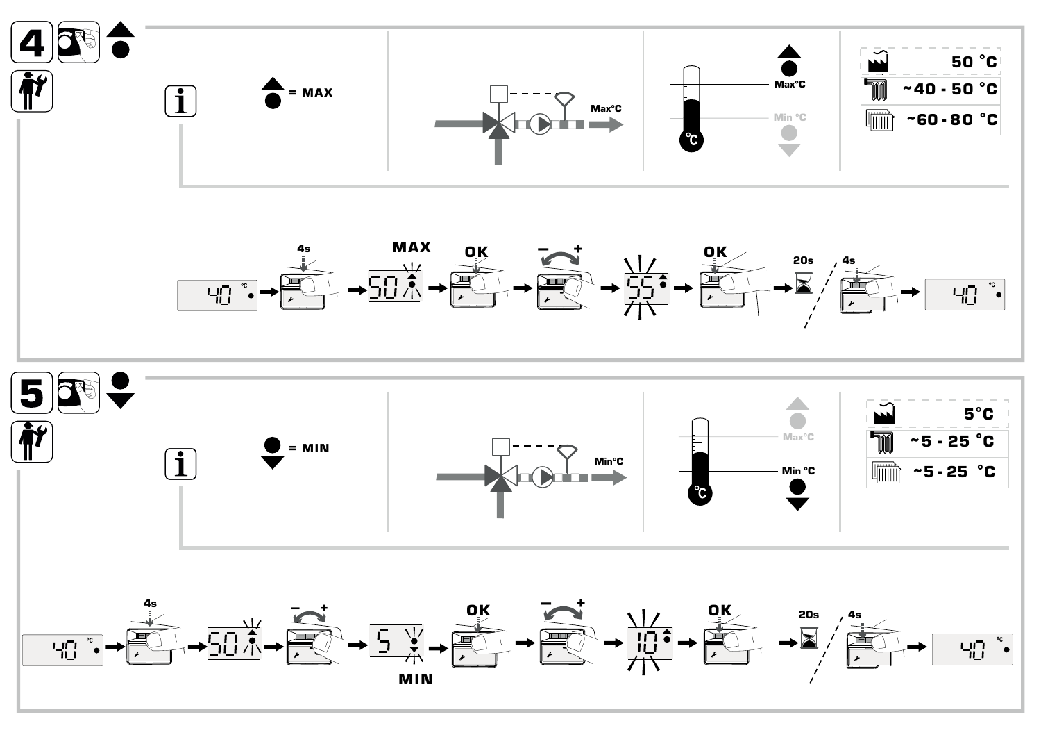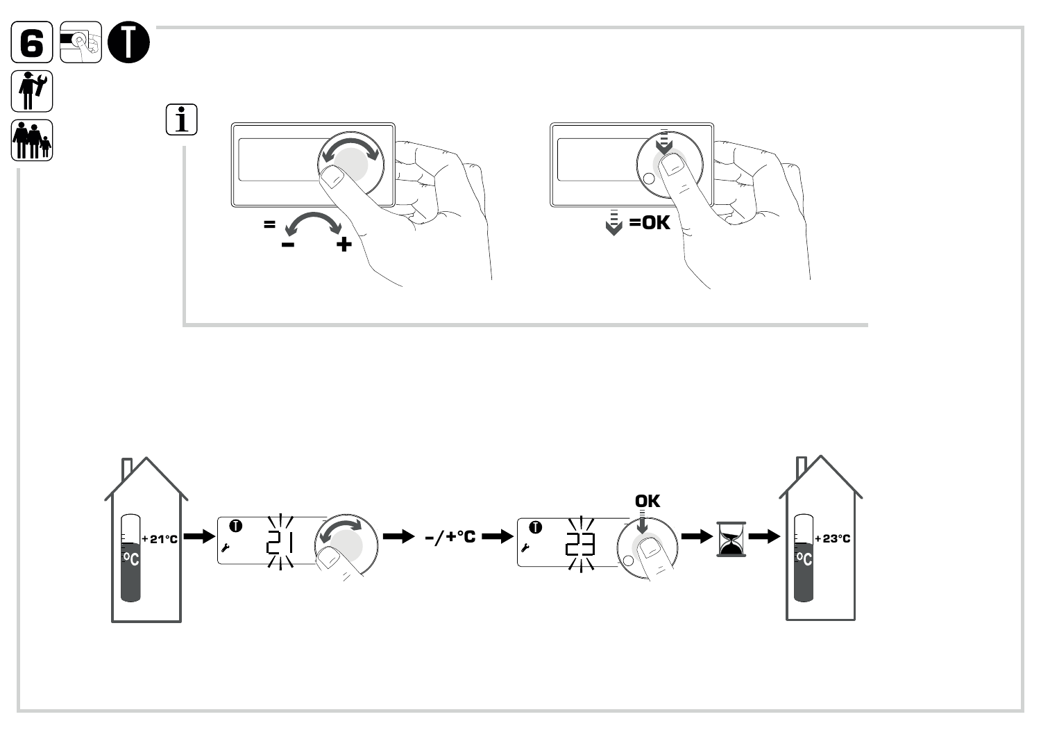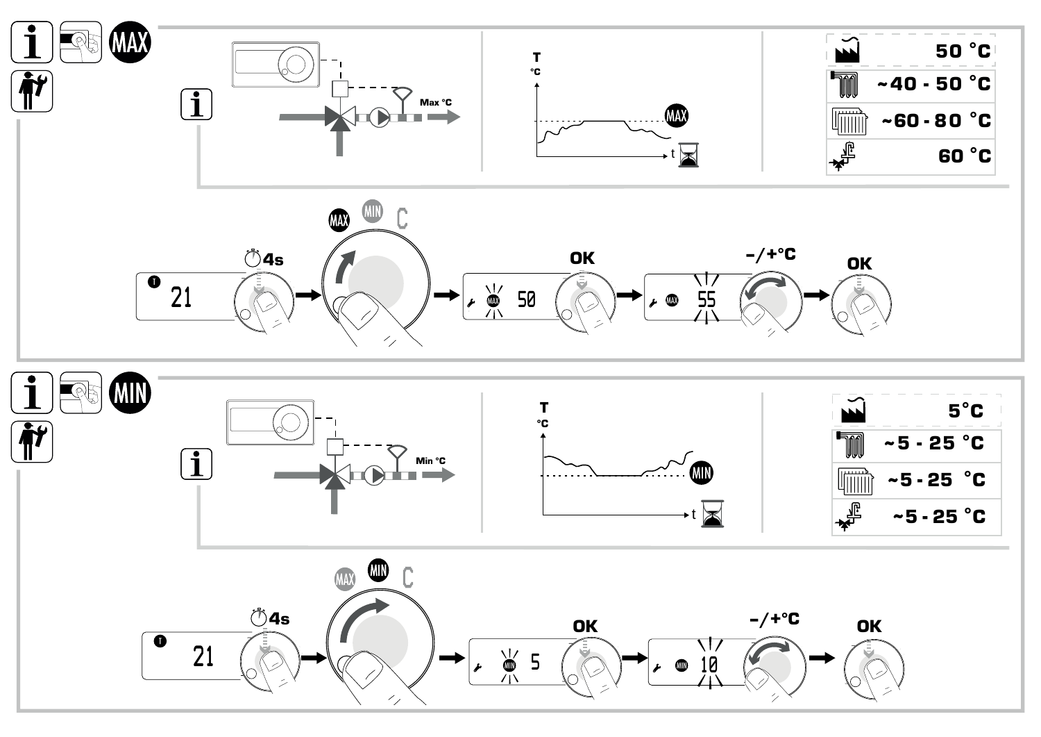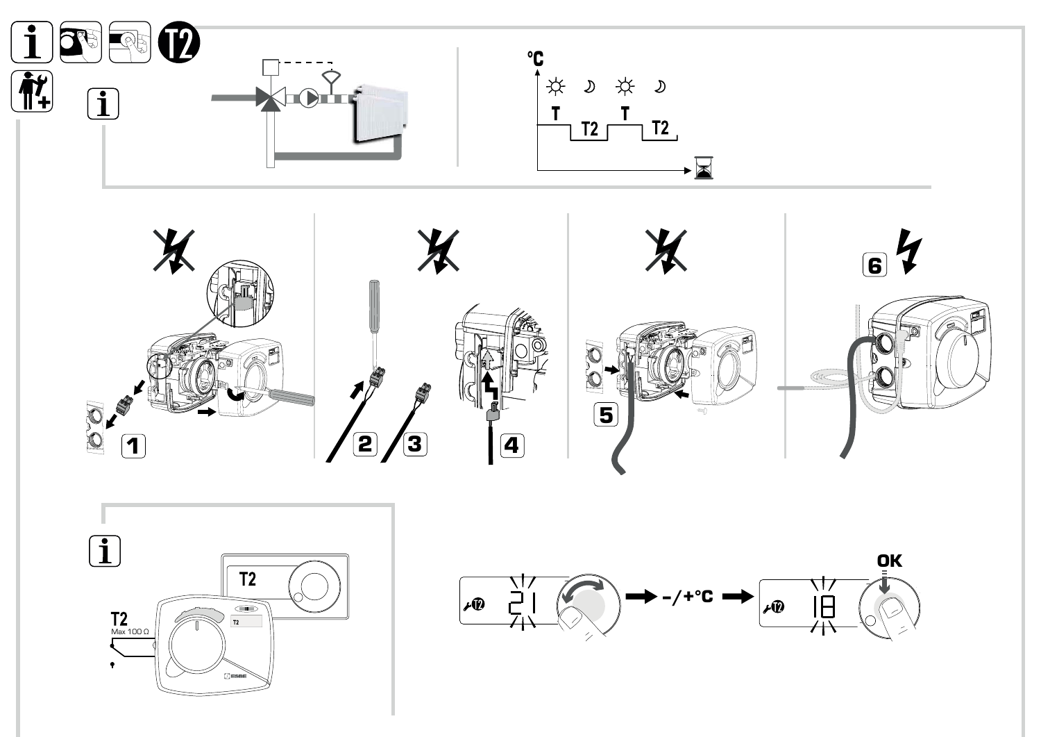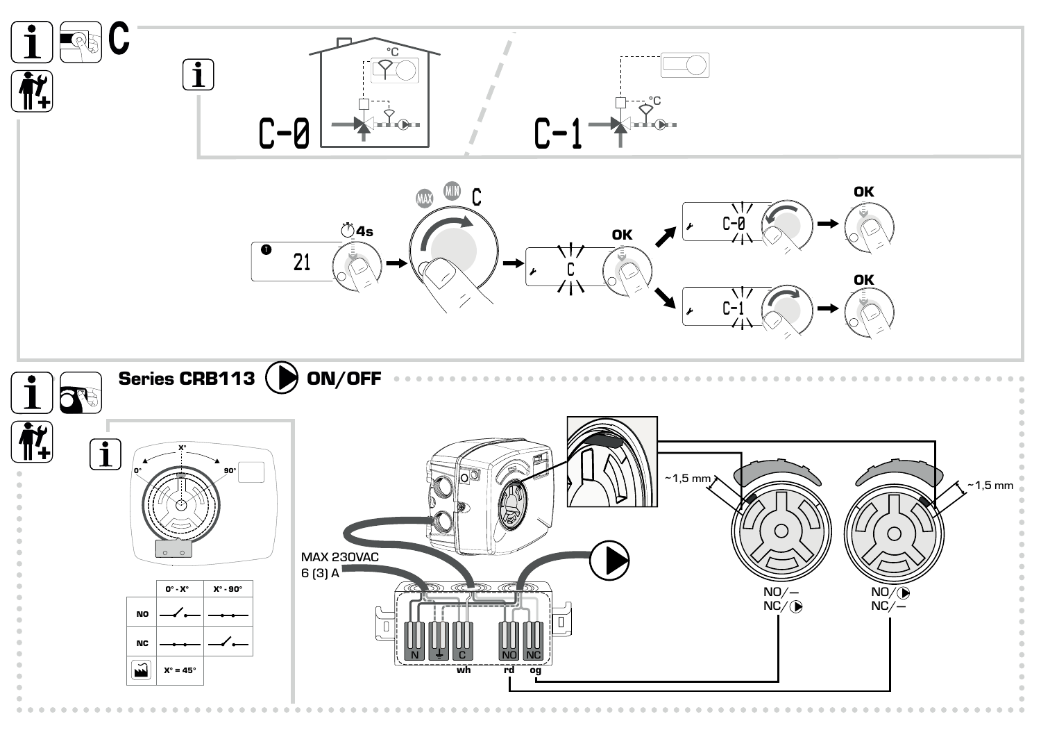